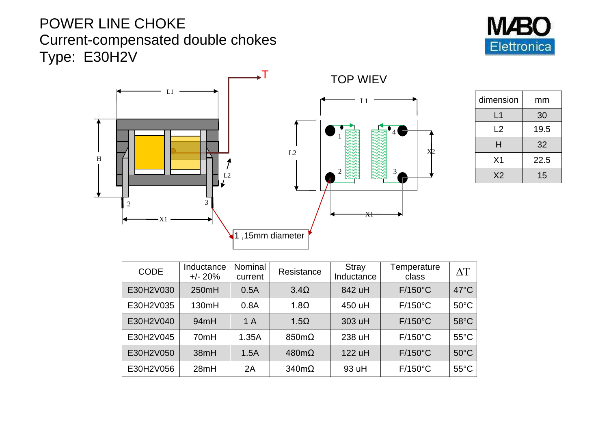## POWER LINE CHOKE Current-compensated double chokes Type: E30H2V





| dimension      | mm   |  |
|----------------|------|--|
| L1             | 30   |  |
| L <sub>2</sub> | 19.5 |  |
| Н              | 32   |  |
| X <sub>1</sub> | 22.5 |  |
| X <sub>2</sub> | 15   |  |

| <b>CODE</b> | Inductance<br>$+/- 20%$ | Nominal<br>current | Resistance           | Stray<br>Inductance | Temperature<br>class | $\wedge T$     |
|-------------|-------------------------|--------------------|----------------------|---------------------|----------------------|----------------|
| E30H2V030   | 250mH                   | 0.5A               | $3.4\Omega$          | 842 uH              | $F/150^{\circ}$ C    | $47^{\circ}$ C |
| E30H2V035   | 130mH                   | 0.8A               | $1.8\Omega$          | 450 uH              | $F/150^{\circ}C$     | $50^{\circ}$ C |
| E30H2V040   | 94mH                    | 1A                 | $1.5\Omega$          | 303 uH              | $F/150^{\circ}C$     | $58^{\circ}$ C |
| E30H2V045   | 70mH                    | 1.35A              | $850 \text{m}\Omega$ | 238 uH              | $F/150^{\circ}C$     | $55^{\circ}$ C |
| E30H2V050   | 38mH                    | 1.5A               | $480m\Omega$         | 122 uH              | $F/150^{\circ}C$     | $50^{\circ}$ C |
| E30H2V056   | 28mH                    | 2A                 | $340m\Omega$         | 93 uH               | $F/150^{\circ}$ C    | $55^{\circ}$ C |